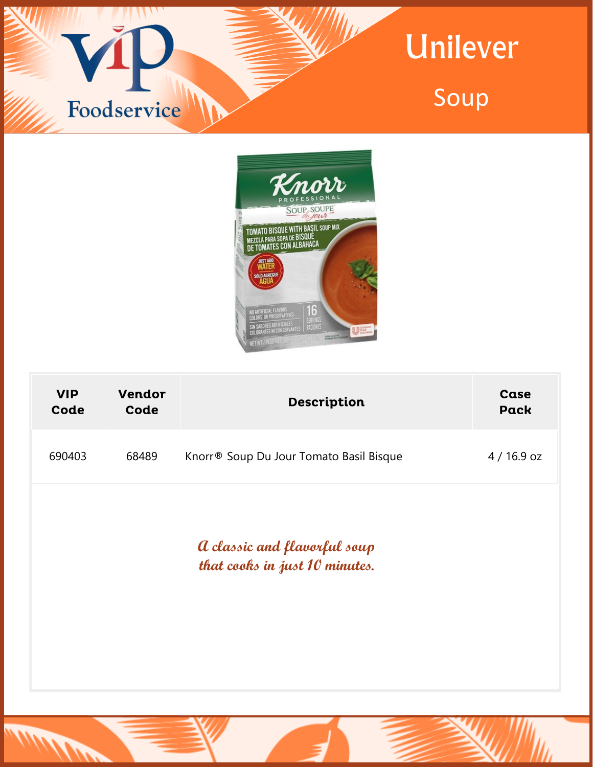



| <b>VIP</b><br>Code                                             | <b>Vendor</b><br>Code | <b>Description</b>                      | Case<br><b>Pack</b> |  |
|----------------------------------------------------------------|-----------------------|-----------------------------------------|---------------------|--|
| 690403                                                         | 68489                 | Knorr® Soup Du Jour Tomato Basil Bisque | 4 / 16.9 oz         |  |
| a classic and flavorful soup<br>that cooks in just 10 minutes. |                       |                                         |                     |  |
|                                                                |                       |                                         |                     |  |